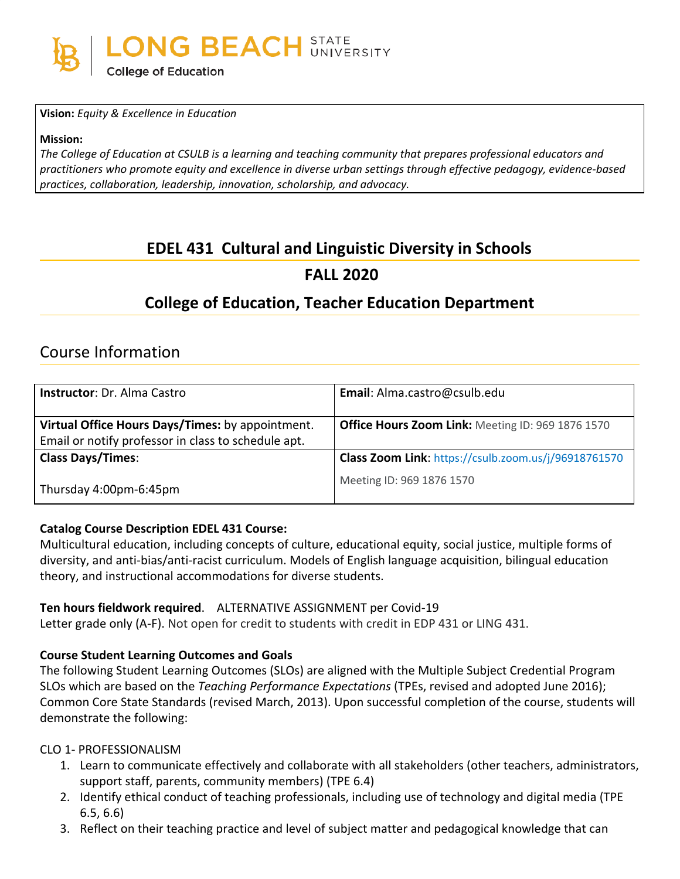

**Vision:** *Equity & Excellence in Education*

**Mission:**

The College of Education at CSULB is a learning and teaching community that prepares professional educators and *practitioners who promote equity and excellence in diverse urban settings through effective pedagogy, evidence-based practices, collaboration, leadership, innovation, scholarship, and advocacy.*

# **EDEL 431 Cultural and Linguistic Diversity in Schools**

## **FALL 2020**

# **College of Education, Teacher Education Department**

# Course Information

| <b>Instructor: Dr. Alma Castro</b>                                                                      | Email: Alma.castro@csulb.edu                             |
|---------------------------------------------------------------------------------------------------------|----------------------------------------------------------|
| Virtual Office Hours Days/Times: by appointment.<br>Email or notify professor in class to schedule apt. | <b>Office Hours Zoom Link: Meeting ID: 969 1876 1570</b> |
| <b>Class Days/Times:</b>                                                                                | Class Zoom Link: https://csulb.zoom.us/j/96918761570     |
| Thursday 4:00pm-6:45pm                                                                                  | Meeting ID: 969 1876 1570                                |

#### **Catalog Course Description EDEL 431 Course:**

Multicultural education, including concepts of culture, educational equity, social justice, multiple forms of diversity, and anti-bias/anti-racist curriculum. Models of English language acquisition, bilingual education theory, and instructional accommodations for diverse students.

#### **Ten hours fieldwork required**. ALTERNATIVE ASSIGNMENT per Covid-19

Letter grade only (A-F). Not open for credit to students with credit in EDP 431 or LING 431.

#### **Course Student Learning Outcomes and Goals**

The following Student Learning Outcomes (SLOs) are aligned with the Multiple Subject Credential Program SLOs which are based on the *Teaching Performance Expectations* (TPEs, revised and adopted June 2016); Common Core State Standards (revised March, 2013). Upon successful completion of the course, students will demonstrate the following:

#### CLO 1- PROFESSIONALISM

- 1. Learn to communicate effectively and collaborate with all stakeholders (other teachers, administrators, support staff, parents, community members) (TPE 6.4)
- 2. Identify ethical conduct of teaching professionals, including use of technology and digital media (TPE 6.5, 6.6)
- 3. Reflect on their teaching practice and level of subject matter and pedagogical knowledge that can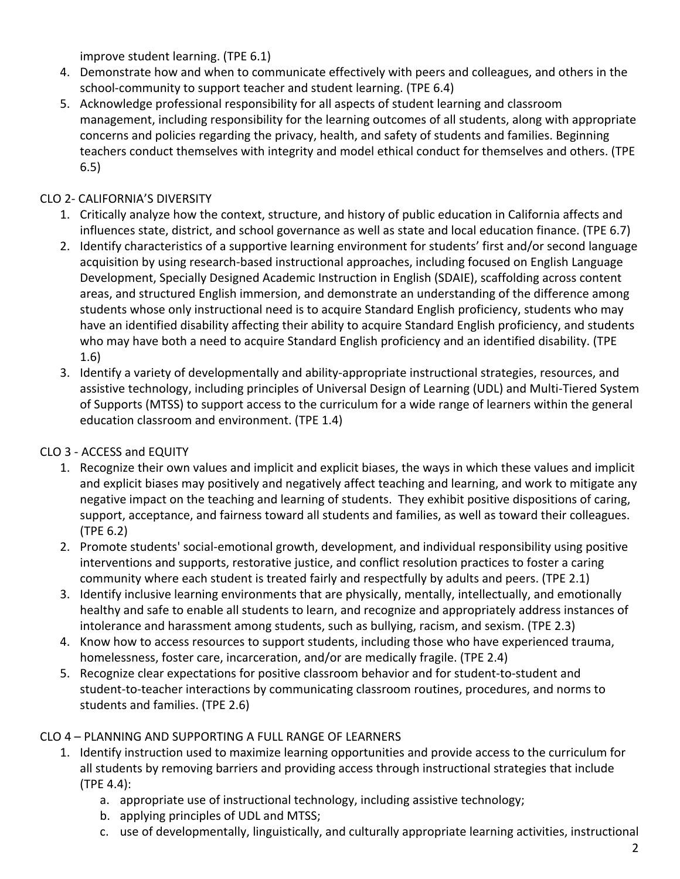improve student learning. (TPE 6.1)

- 4. Demonstrate how and when to communicate effectively with peers and colleagues, and others in the school-community to support teacher and student learning. (TPE 6.4)
- 5. Acknowledge professional responsibility for all aspects of student learning and classroom management, including responsibility for the learning outcomes of all students, along with appropriate concerns and policies regarding the privacy, health, and safety of students and families. Beginning teachers conduct themselves with integrity and model ethical conduct for themselves and others. (TPE 6.5)

## CLO 2- CALIFORNIA'S DIVERSITY

- 1. Critically analyze how the context, structure, and history of public education in California affects and influences state, district, and school governance as well as state and local education finance. (TPE 6.7)
- 2. Identify characteristics of a supportive learning environment for students' first and/or second language acquisition by using research-based instructional approaches, including focused on English Language Development, Specially Designed Academic Instruction in English (SDAIE), scaffolding across content areas, and structured English immersion, and demonstrate an understanding of the difference among students whose only instructional need is to acquire Standard English proficiency, students who may have an identified disability affecting their ability to acquire Standard English proficiency, and students who may have both a need to acquire Standard English proficiency and an identified disability. (TPE 1.6)
- 3. Identify a variety of developmentally and ability-appropriate instructional strategies, resources, and assistive technology, including principles of Universal Design of Learning (UDL) and Multi-Tiered System of Supports (MTSS) to support access to the curriculum for a wide range of learners within the general education classroom and environment. (TPE 1.4)

## CLO 3 - ACCESS and EQUITY

- 1. Recognize their own values and implicit and explicit biases, the ways in which these values and implicit and explicit biases may positively and negatively affect teaching and learning, and work to mitigate any negative impact on the teaching and learning of students. They exhibit positive dispositions of caring, support, acceptance, and fairness toward all students and families, as well as toward their colleagues. (TPE 6.2)
- 2. Promote students' social-emotional growth, development, and individual responsibility using positive interventions and supports, restorative justice, and conflict resolution practices to foster a caring community where each student is treated fairly and respectfully by adults and peers. (TPE 2.1)
- 3. Identify inclusive learning environments that are physically, mentally, intellectually, and emotionally healthy and safe to enable all students to learn, and recognize and appropriately address instances of intolerance and harassment among students, such as bullying, racism, and sexism. (TPE 2.3)
- 4. Know how to access resources to support students, including those who have experienced trauma, homelessness, foster care, incarceration, and/or are medically fragile. (TPE 2.4)
- 5. Recognize clear expectations for positive classroom behavior and for student-to-student and student-to-teacher interactions by communicating classroom routines, procedures, and norms to students and families. (TPE 2.6)

## CLO 4 – PLANNING AND SUPPORTING A FULL RANGE OF LEARNERS

- 1. Identify instruction used to maximize learning opportunities and provide access to the curriculum for all students by removing barriers and providing access through instructional strategies that include (TPE 4.4):
	- a. appropriate use of instructional technology, including assistive technology;
	- b. applying principles of UDL and MTSS;
	- c. use of developmentally, linguistically, and culturally appropriate learning activities, instructional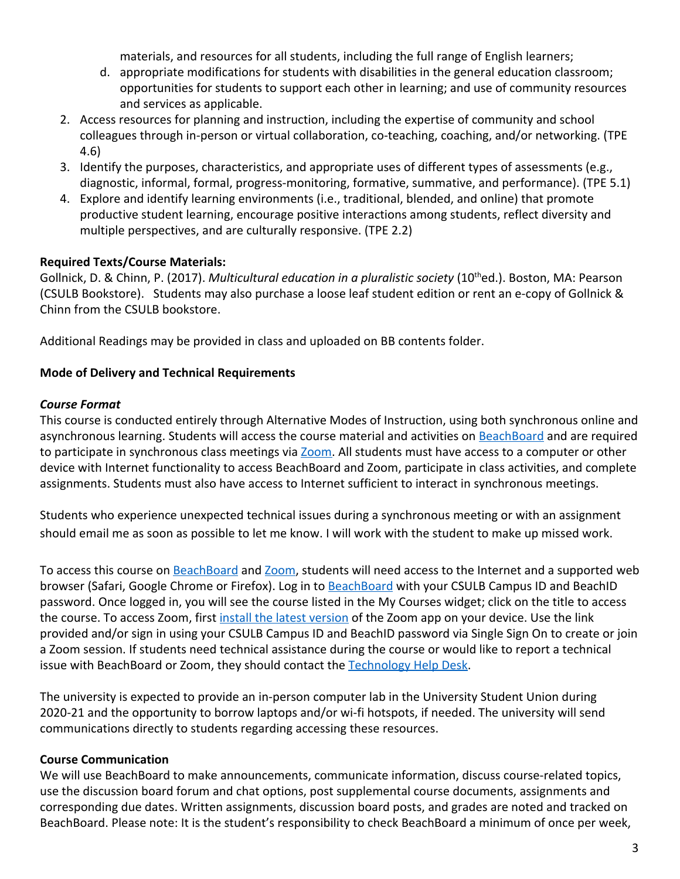materials, and resources for all students, including the full range of English learners;

- d. appropriate modifications for students with disabilities in the general education classroom; opportunities for students to support each other in learning; and use of community resources and services as applicable.
- 2. Access resources for planning and instruction, including the expertise of community and school colleagues through in-person or virtual collaboration, co-teaching, coaching, and/or networking. (TPE 4.6)
- 3. Identify the purposes, characteristics, and appropriate uses of different types of assessments (e.g., diagnostic, informal, formal, progress-monitoring, formative, summative, and performance). (TPE 5.1)
- 4. Explore and identify learning environments (i.e., traditional, blended, and online) that promote productive student learning, encourage positive interactions among students, reflect diversity and multiple perspectives, and are culturally responsive. (TPE 2.2)

### **Required Texts/Course Materials:**

Gollnick, D. & Chinn, P. (2017). *Multicultural education in a pluralistic society* (10<sup>th</sup>ed.). Boston, MA: Pearson (CSULB Bookstore). Students may also purchase a loose leaf student edition or rent an e-copy of Gollnick & Chinn from the CSULB bookstore.

Additional Readings may be provided in class and uploaded on BB contents folder.

### **Mode of Delivery and Technical Requirements**

#### *Course Format*

This course is conducted entirely through Alternative Modes of Instruction, using both synchronous online and asynchronous learning. Students will access the course material and activities on [BeachBoard](https://bbcsulb.desire2learn.com/d2l/home) and are required to participate in synchronous class meetings via [Zoom.](https://csulb.zoom.us/meeting) All students must have access to a computer or other device with Internet functionality to access BeachBoard and Zoom, participate in class activities, and complete assignments. Students must also have access to Internet sufficient to interact in synchronous meetings.

Students who experience unexpected technical issues during a synchronous meeting or with an assignment should email me as soon as possible to let me know. I will work with the student to make up missed work.

To access this course on BeachBoard and [Zoom](https://csulb.zoom.us/meeting), students will need access to the Internet and a supported web browser (Safari, Google Chrome or Firefox). Log in to **[BeachBoard](https://bbcsulb.desire2learn.com/)** with your CSULB Campus ID and BeachID password. Once logged in, you will see the course listed in the My Courses widget; click on the title to access the course. To access Zoom, first [install the latest version](https://zoom.us/download) of the Zoom app on your device. Use the link provided and/or sign in using your CSULB Campus ID and BeachID password via Single Sign On to create or join a Zoom session. If students need technical assistance during the course or would like to report a technical issue with BeachBoard or Zoom, they should contact the [Technology Help Desk.](https://www.csulb.edu/academic-technology-services/academic-technology-resources-for-students)

The university is expected to provide an in-person computer lab in the University Student Union during 2020-21 and the opportunity to borrow laptops and/or wi-fi hotspots, if needed. The university will send communications directly to students regarding accessing these resources.

### **Course Communication**

We will use BeachBoard to make announcements, communicate information, discuss course-related topics, use the discussion board forum and chat options, post supplemental course documents, assignments and corresponding due dates. Written assignments, discussion board posts, and grades are noted and tracked on BeachBoard. Please note: It is the student's responsibility to check BeachBoard a minimum of once per week,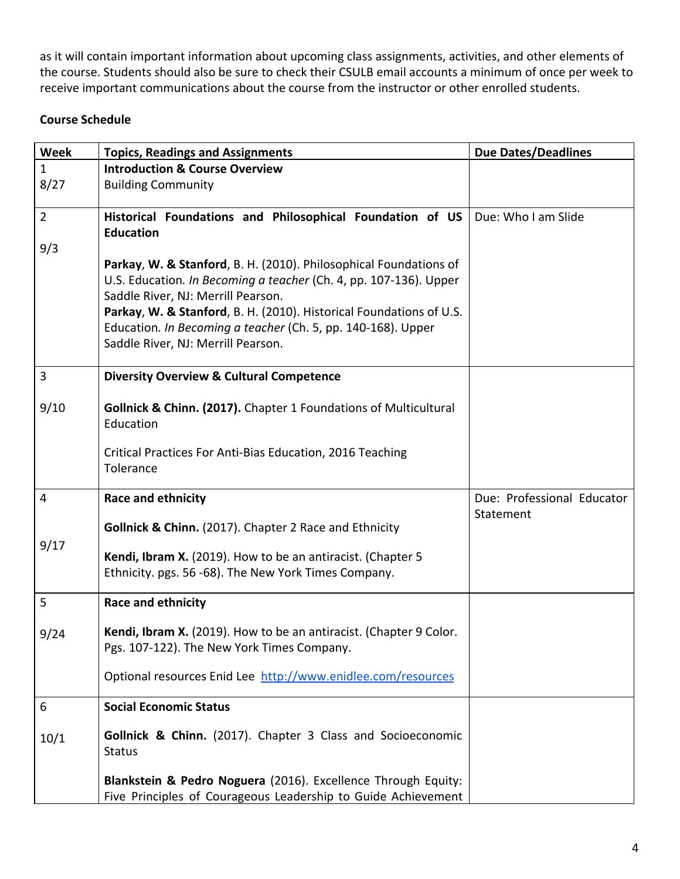as it will contain important information about upcoming class assignments, activities, and other elements of the course. Students should also be sure to check their CSULB email accounts a minimum of once per week to receive important communications about the course from the instructor or other enrolled students.

### **Course Schedule**

| Week           | <b>Topics, Readings and Assignments</b>                                                                                                                                                                                                                                                                                                                   | <b>Due Dates/Deadlines</b> |
|----------------|-----------------------------------------------------------------------------------------------------------------------------------------------------------------------------------------------------------------------------------------------------------------------------------------------------------------------------------------------------------|----------------------------|
| $\mathbf{1}$   | <b>Introduction &amp; Course Overview</b>                                                                                                                                                                                                                                                                                                                 |                            |
| 8/27           | <b>Building Community</b>                                                                                                                                                                                                                                                                                                                                 |                            |
|                |                                                                                                                                                                                                                                                                                                                                                           |                            |
| $\overline{2}$ | Historical Foundations and Philosophical Foundation of US<br><b>Education</b>                                                                                                                                                                                                                                                                             | Due: Who I am Slide        |
| 9/3            |                                                                                                                                                                                                                                                                                                                                                           |                            |
|                | Parkay, W. & Stanford, B. H. (2010). Philosophical Foundations of<br>U.S. Education. In Becoming a teacher (Ch. 4, pp. 107-136). Upper<br>Saddle River, NJ: Merrill Pearson.<br>Parkay, W. & Stanford, B. H. (2010). Historical Foundations of U.S.<br>Education. In Becoming a teacher (Ch. 5, pp. 140-168). Upper<br>Saddle River, NJ: Merrill Pearson. |                            |
| 3              | <b>Diversity Overview &amp; Cultural Competence</b>                                                                                                                                                                                                                                                                                                       |                            |
| 9/10           | Gollnick & Chinn. (2017). Chapter 1 Foundations of Multicultural<br>Education<br>Critical Practices For Anti-Bias Education, 2016 Teaching<br>Tolerance                                                                                                                                                                                                   |                            |
| 4              | Race and ethnicity                                                                                                                                                                                                                                                                                                                                        | Due: Professional Educator |
|                | <b>Gollnick &amp; Chinn.</b> (2017). Chapter 2 Race and Ethnicity                                                                                                                                                                                                                                                                                         | Statement                  |
| 9/17           |                                                                                                                                                                                                                                                                                                                                                           |                            |
|                | Kendi, Ibram X. (2019). How to be an antiracist. (Chapter 5                                                                                                                                                                                                                                                                                               |                            |
|                | Ethnicity. pgs. 56 -68). The New York Times Company.                                                                                                                                                                                                                                                                                                      |                            |
| 5              | Race and ethnicity                                                                                                                                                                                                                                                                                                                                        |                            |
|                |                                                                                                                                                                                                                                                                                                                                                           |                            |
| 9/24           | Kendi, Ibram X. (2019). How to be an antiracist. (Chapter 9 Color.<br>Pgs. 107-122). The New York Times Company.                                                                                                                                                                                                                                          |                            |
|                | Optional resources Enid Lee http://www.enidlee.com/resources                                                                                                                                                                                                                                                                                              |                            |
| 6              | <b>Social Economic Status</b>                                                                                                                                                                                                                                                                                                                             |                            |
| 10/1           | Gollnick & Chinn. (2017). Chapter 3 Class and Socioeconomic<br><b>Status</b>                                                                                                                                                                                                                                                                              |                            |
|                | Blankstein & Pedro Noguera (2016). Excellence Through Equity:                                                                                                                                                                                                                                                                                             |                            |
|                | Five Principles of Courageous Leadership to Guide Achievement                                                                                                                                                                                                                                                                                             |                            |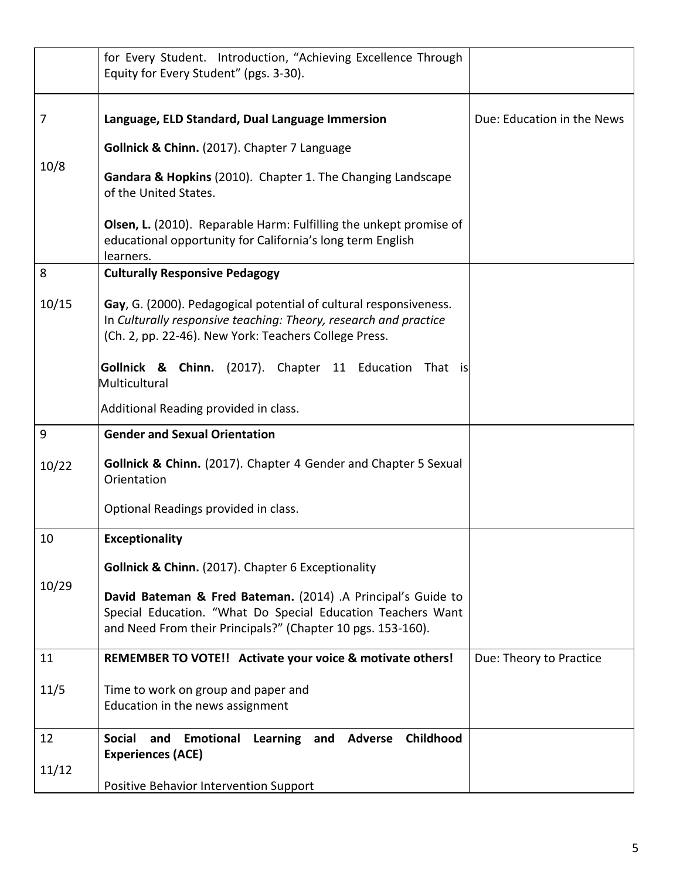|       | for Every Student. Introduction, "Achieving Excellence Through<br>Equity for Every Student" (pgs. 3-30).                                                                                       |                            |
|-------|------------------------------------------------------------------------------------------------------------------------------------------------------------------------------------------------|----------------------------|
| 7     | Language, ELD Standard, Dual Language Immersion                                                                                                                                                | Due: Education in the News |
|       | Gollnick & Chinn. (2017). Chapter 7 Language                                                                                                                                                   |                            |
| 10/8  | Gandara & Hopkins (2010). Chapter 1. The Changing Landscape<br>of the United States.                                                                                                           |                            |
|       | <b>Olsen, L.</b> (2010). Reparable Harm: Fulfilling the unkept promise of<br>educational opportunity for California's long term English<br>learners.                                           |                            |
| 8     | <b>Culturally Responsive Pedagogy</b>                                                                                                                                                          |                            |
| 10/15 | Gay, G. (2000). Pedagogical potential of cultural responsiveness.<br>In Culturally responsive teaching: Theory, research and practice<br>(Ch. 2, pp. 22-46). New York: Teachers College Press. |                            |
|       | Gollnick & Chinn. (2017). Chapter 11 Education<br>That is<br>Multicultural                                                                                                                     |                            |
|       | Additional Reading provided in class.                                                                                                                                                          |                            |
| 9     | <b>Gender and Sexual Orientation</b>                                                                                                                                                           |                            |
| 10/22 | <b>Gollnick &amp; Chinn.</b> (2017). Chapter 4 Gender and Chapter 5 Sexual<br>Orientation                                                                                                      |                            |
|       | Optional Readings provided in class.                                                                                                                                                           |                            |
| 10    | <b>Exceptionality</b>                                                                                                                                                                          |                            |
|       | Gollnick & Chinn. (2017). Chapter 6 Exceptionality                                                                                                                                             |                            |
| 10/29 | David Bateman & Fred Bateman. (2014) .A Principal's Guide to<br>Special Education. "What Do Special Education Teachers Want<br>and Need From their Principals?" (Chapter 10 pgs. 153-160).     |                            |
| 11    | REMEMBER TO VOTE!! Activate your voice & motivate others!                                                                                                                                      | Due: Theory to Practice    |
| 11/5  | Time to work on group and paper and<br>Education in the news assignment                                                                                                                        |                            |
| 12    | Childhood<br>Emotional<br>Learning and Adverse<br><b>Social</b><br>and<br><b>Experiences (ACE)</b>                                                                                             |                            |
| 11/12 | Positive Behavior Intervention Support                                                                                                                                                         |                            |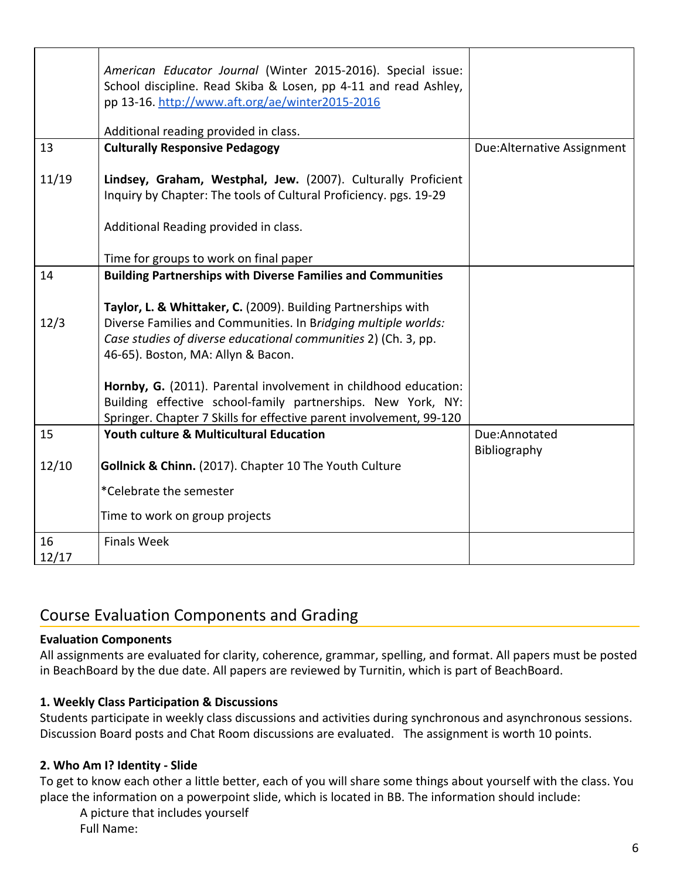|             | American Educator Journal (Winter 2015-2016). Special issue:<br>School discipline. Read Skiba & Losen, pp 4-11 and read Ashley,<br>pp 13-16. http://www.aft.org/ae/winter2015-2016 |                             |
|-------------|------------------------------------------------------------------------------------------------------------------------------------------------------------------------------------|-----------------------------|
|             |                                                                                                                                                                                    |                             |
|             | Additional reading provided in class.                                                                                                                                              |                             |
| 13          | <b>Culturally Responsive Pedagogy</b>                                                                                                                                              | Due: Alternative Assignment |
| 11/19       | Lindsey, Graham, Westphal, Jew. (2007). Culturally Proficient<br>Inquiry by Chapter: The tools of Cultural Proficiency. pgs. 19-29                                                 |                             |
|             |                                                                                                                                                                                    |                             |
|             | Additional Reading provided in class.                                                                                                                                              |                             |
|             | Time for groups to work on final paper                                                                                                                                             |                             |
| 14          | <b>Building Partnerships with Diverse Families and Communities</b>                                                                                                                 |                             |
|             |                                                                                                                                                                                    |                             |
|             | Taylor, L. & Whittaker, C. (2009). Building Partnerships with                                                                                                                      |                             |
| 12/3        | Diverse Families and Communities. In Bridging multiple worlds:                                                                                                                     |                             |
|             | Case studies of diverse educational communities 2) (Ch. 3, pp.                                                                                                                     |                             |
|             | 46-65). Boston, MA: Allyn & Bacon.                                                                                                                                                 |                             |
|             |                                                                                                                                                                                    |                             |
|             | Hornby, G. (2011). Parental involvement in childhood education:                                                                                                                    |                             |
|             | Building effective school-family partnerships. New York, NY:                                                                                                                       |                             |
|             | Springer. Chapter 7 Skills for effective parent involvement, 99-120                                                                                                                |                             |
| 15          | <b>Youth culture &amp; Multicultural Education</b>                                                                                                                                 | Due:Annotated               |
|             |                                                                                                                                                                                    | Bibliography                |
| 12/10       | Gollnick & Chinn. (2017). Chapter 10 The Youth Culture                                                                                                                             |                             |
|             | *Celebrate the semester                                                                                                                                                            |                             |
|             | Time to work on group projects                                                                                                                                                     |                             |
| 16<br>12/17 | <b>Finals Week</b>                                                                                                                                                                 |                             |

# Course Evaluation Components and Grading

### **Evaluation Components**

All assignments are evaluated for clarity, coherence, grammar, spelling, and format. All papers must be posted in BeachBoard by the due date. All papers are reviewed by Turnitin, which is part of BeachBoard.

### **1. Weekly Class Participation & Discussions**

Students participate in weekly class discussions and activities during synchronous and asynchronous sessions. Discussion Board posts and Chat Room discussions are evaluated. The assignment is worth 10 points.

### **2. Who Am I? Identity - Slide**

To get to know each other a little better, each of you will share some things about yourself with the class. You place the information on a powerpoint slide, which is located in BB. The information should include:

A picture that includes yourself Full Name: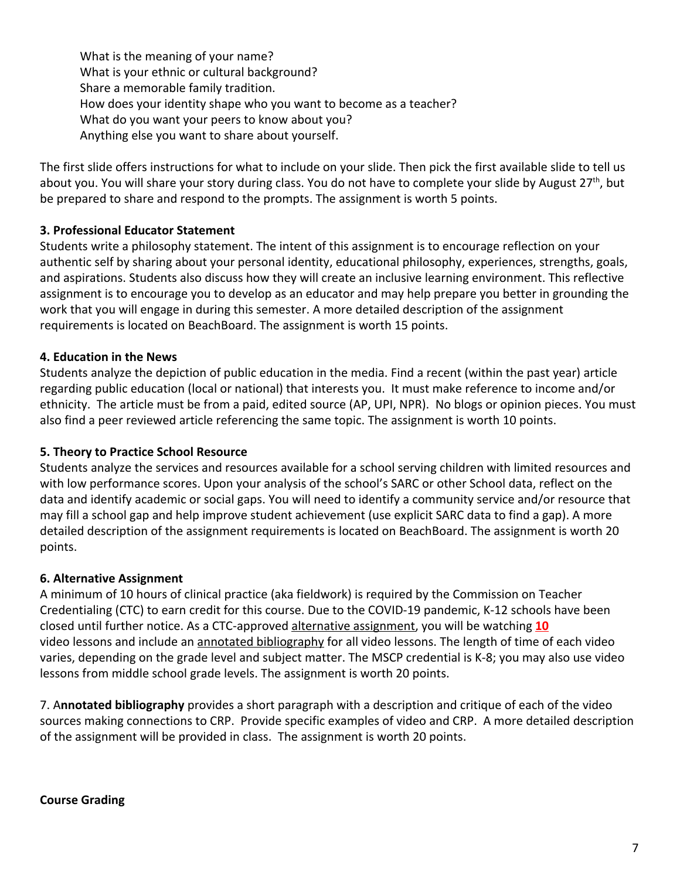What is the meaning of your name? What is your ethnic or cultural background? Share a memorable family tradition. How does your identity shape who you want to become as a teacher? What do you want your peers to know about you? Anything else you want to share about yourself.

The first slide offers instructions for what to include on your slide. Then pick the first available slide to tell us about you. You will share your story during class. You do not have to complete your slide by August 27<sup>th</sup>, but be prepared to share and respond to the prompts. The assignment is worth 5 points.

### **3. Professional Educator Statement**

Students write a philosophy statement. The intent of this assignment is to encourage reflection on your authentic self by sharing about your personal identity, educational philosophy, experiences, strengths, goals, and aspirations. Students also discuss how they will create an inclusive learning environment. This reflective assignment is to encourage you to develop as an educator and may help prepare you better in grounding the work that you will engage in during this semester. A more detailed description of the assignment requirements is located on BeachBoard. The assignment is worth 15 points.

### **4. Education in the News**

Students analyze the depiction of public education in the media. Find a recent (within the past year) article regarding public education (local or national) that interests you. It must make reference to income and/or ethnicity. The article must be from a paid, edited source (AP, UPI, NPR). No blogs or opinion pieces. You must also find a peer reviewed article referencing the same topic. The assignment is worth 10 points.

### **5. Theory to Practice School Resource**

Students analyze the services and resources available for a school serving children with limited resources and with low performance scores. Upon your analysis of the school's SARC or other School data, reflect on the data and identify academic or social gaps. You will need to identify a community service and/or resource that may fill a school gap and help improve student achievement (use explicit SARC data to find a gap). A more detailed description of the assignment requirements is located on BeachBoard. The assignment is worth 20 points.

### **6. Alternative Assignment**

A minimum of 10 hours of clinical practice (aka fieldwork) is required by the Commission on Teacher Credentialing (CTC) to earn credit for this course. Due to the COVID-19 pandemic, K-12 schools have been closed until further notice. As a CTC-approved alternative assignment, you will be watching **10** video lessons and include an annotated bibliography for all video lessons. The length of time of each video varies, depending on the grade level and subject matter. The MSCP credential is K-8; you may also use video lessons from middle school grade levels. The assignment is worth 20 points.

7. A**nnotated bibliography** provides a short paragraph with a description and critique of each of the video sources making connections to CRP. Provide specific examples of video and CRP. A more detailed description of the assignment will be provided in class. The assignment is worth 20 points.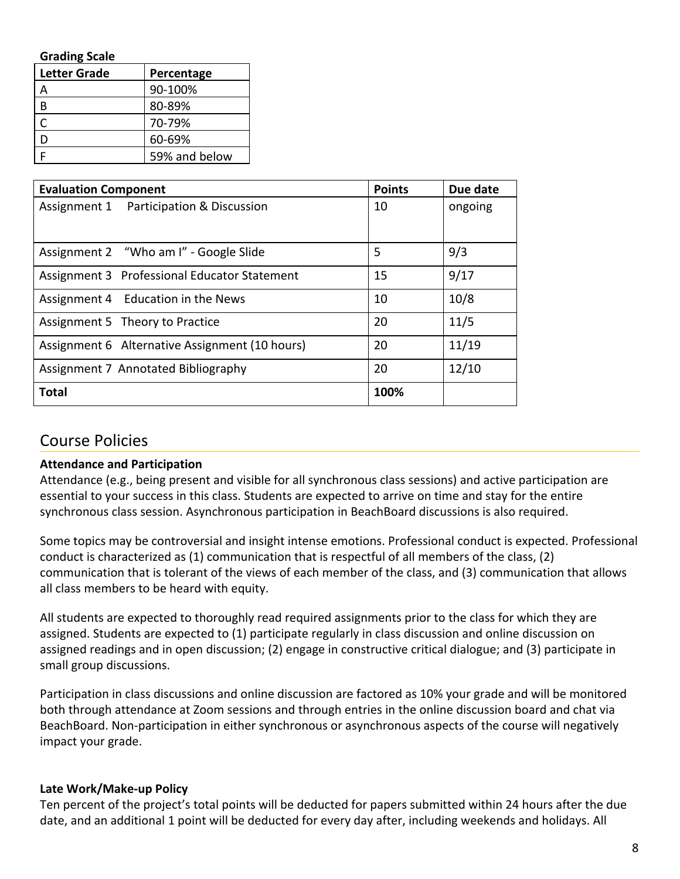| <b>Grading Scale</b>              |               |  |  |
|-----------------------------------|---------------|--|--|
| <b>Letter Grade</b><br>Percentage |               |  |  |
|                                   | 90-100%       |  |  |
| В                                 | 80-89%        |  |  |
|                                   | 70-79%        |  |  |
|                                   | 60-69%        |  |  |
|                                   | 59% and below |  |  |

| <b>Evaluation Component</b>                    | <b>Points</b> | Due date |
|------------------------------------------------|---------------|----------|
| Assignment 1 Participation & Discussion        | 10            | ongoing  |
|                                                |               |          |
| Assignment 2 "Who am I" - Google Slide         | 5             | 9/3      |
| Assignment 3 Professional Educator Statement   | 15            | 9/17     |
| Assignment 4 Education in the News             | 10            | 10/8     |
| Assignment 5 Theory to Practice                | 20            | 11/5     |
| Assignment 6 Alternative Assignment (10 hours) | 20            | 11/19    |
| Assignment 7 Annotated Bibliography            | 20            | 12/10    |
| <b>Total</b>                                   | 100%          |          |

## Course Policies

### **Attendance and Participation**

Attendance (e.g., being present and visible for all synchronous class sessions) and active participation are essential to your success in this class. Students are expected to arrive on time and stay for the entire synchronous class session. Asynchronous participation in BeachBoard discussions is also required.

Some topics may be controversial and insight intense emotions. Professional conduct is expected. Professional conduct is characterized as (1) communication that is respectful of all members of the class, (2) communication that is tolerant of the views of each member of the class, and (3) communication that allows all class members to be heard with equity.

All students are expected to thoroughly read required assignments prior to the class for which they are assigned. Students are expected to (1) participate regularly in class discussion and online discussion on assigned readings and in open discussion; (2) engage in constructive critical dialogue; and (3) participate in small group discussions.

Participation in class discussions and online discussion are factored as 10% your grade and will be monitored both through attendance at Zoom sessions and through entries in the online discussion board and chat via BeachBoard. Non-participation in either synchronous or asynchronous aspects of the course will negatively impact your grade.

### **Late Work/Make-up Policy**

Ten percent of the project's total points will be deducted for papers submitted within 24 hours after the due date, and an additional 1 point will be deducted for every day after, including weekends and holidays. All